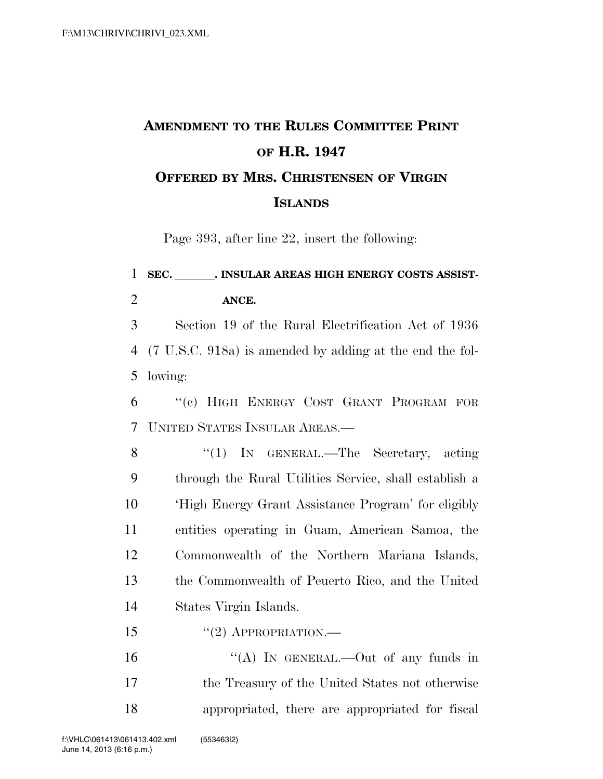## **AMENDMENT TO THE RULES COMMITTEE PRINT OF H.R. 1947 OFFERED BY MRS. CHRISTENSEN OF VIRGIN ISLANDS**

Page 393, after line 22, insert the following:

## 1 SEC. INSULAR AREAS HIGH ENERGY COSTS ASSIST-2 **ANCE.**

3 Section 19 of the Rural Electrification Act of 1936 4 (7 U.S.C. 918a) is amended by adding at the end the fol-5 lowing:

6 ''(c) HIGH ENERGY COST GRANT PROGRAM FOR 7 UNITED STATES INSULAR AREAS.—

8 "(1) IN GENERAL.—The Secretary, acting through the Rural Utilities Service, shall establish a 'High Energy Grant Assistance Program' for eligibly entities operating in Guam, American Samoa, the Commonwealth of the Northern Mariana Islands, the Commonwealth of Peuerto Rico, and the United States Virgin Islands.

15 "(2) APPROPRIATION.—

16 "(A) IN GENERAL.—Out of any funds in 17 the Treasury of the United States not otherwise 18 appropriated, there are appropriated for fiscal